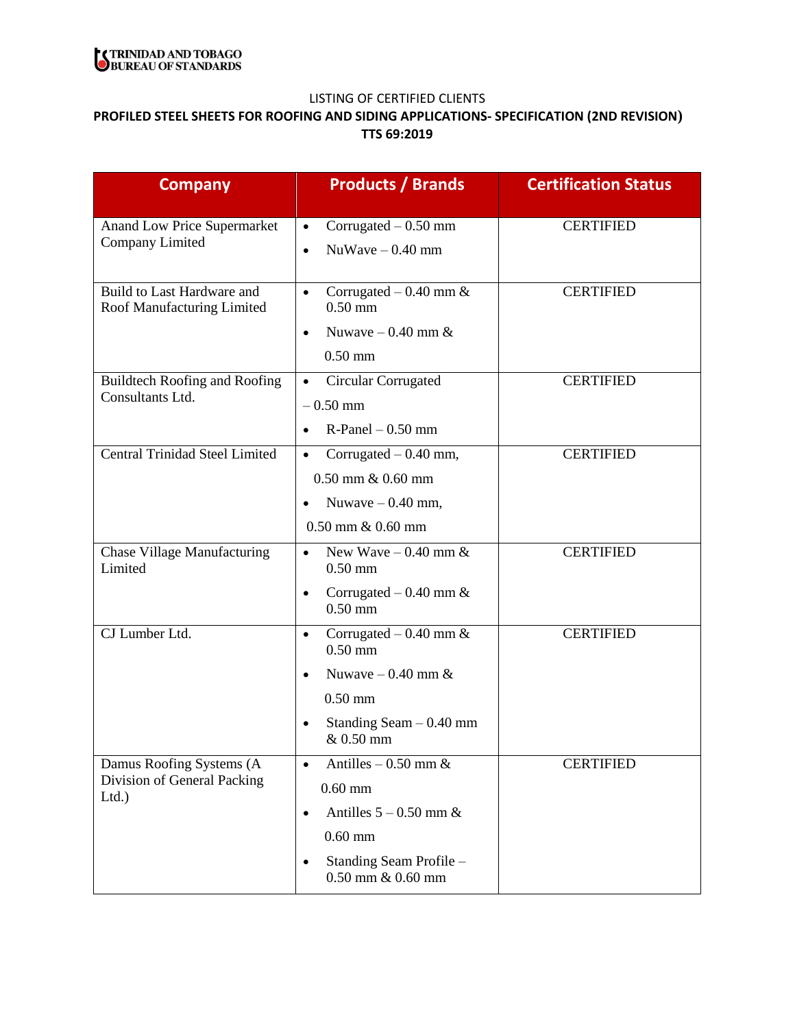

# **PROFILED STEEL SHEETS FOR ROOFING AND SIDING APPLICATIONS- SPECIFICATION (2ND REVISION) TTS 69:2019**

| <b>Company</b>                                                  | <b>Products / Brands</b>                          | <b>Certification Status</b> |
|-----------------------------------------------------------------|---------------------------------------------------|-----------------------------|
| <b>Anand Low Price Supermarket</b><br>Company Limited           | Corrugated $-0.50$ mm<br>$\bullet$                | <b>CERTIFIED</b>            |
|                                                                 | $NuWave - 0.40$ mm<br>$\bullet$                   |                             |
| Build to Last Hardware and<br>Roof Manufacturing Limited        | Corrugated $-0.40$ mm &<br>$\bullet$<br>$0.50$ mm | <b>CERTIFIED</b>            |
|                                                                 | Nuwaye $-0.40$ mm &<br>$\bullet$                  |                             |
|                                                                 | $0.50$ mm                                         |                             |
| <b>Buildtech Roofing and Roofing</b>                            | Circular Corrugated<br>$\bullet$                  | <b>CERTIFIED</b>            |
| Consultants Ltd.                                                | $-0.50$ mm                                        |                             |
|                                                                 | $R$ -Panel $- 0.50$ mm<br>$\bullet$               |                             |
| <b>Central Trinidad Steel Limited</b>                           | Corrugated $-0.40$ mm,<br>$\bullet$               | <b>CERTIFIED</b>            |
|                                                                 | $0.50$ mm $\& 0.60$ mm                            |                             |
|                                                                 | Nuwaye $-0.40$ mm,                                |                             |
|                                                                 | $0.50$ mm $\& 0.60$ mm                            |                             |
| <b>Chase Village Manufacturing</b><br>Limited                   | New Wave $-0.40$ mm &<br>$\bullet$<br>$0.50$ mm   | <b>CERTIFIED</b>            |
|                                                                 | Corrugated $-0.40$ mm &<br>$\bullet$<br>$0.50$ mm |                             |
| CJ Lumber Ltd.                                                  | Corrugated $-0.40$ mm &<br>$\bullet$<br>$0.50$ mm | <b>CERTIFIED</b>            |
|                                                                 | Nuwaye $-0.40$ mm &                               |                             |
|                                                                 | $0.50$ mm                                         |                             |
|                                                                 | Standing Seam $-0.40$ mm<br>& 0.50 mm             |                             |
| Damus Roofing Systems (A<br>Division of General Packing<br>Ltd. | Antilles $-0.50$ mm &<br>$\bullet$                | <b>CERTIFIED</b>            |
|                                                                 | $0.60$ mm                                         |                             |
|                                                                 | Antilles $5 - 0.50$ mm &<br>$\bullet$             |                             |
|                                                                 | $0.60$ mm                                         |                             |
|                                                                 | Standing Seam Profile -<br>$0.50$ mm $\& 0.60$ mm |                             |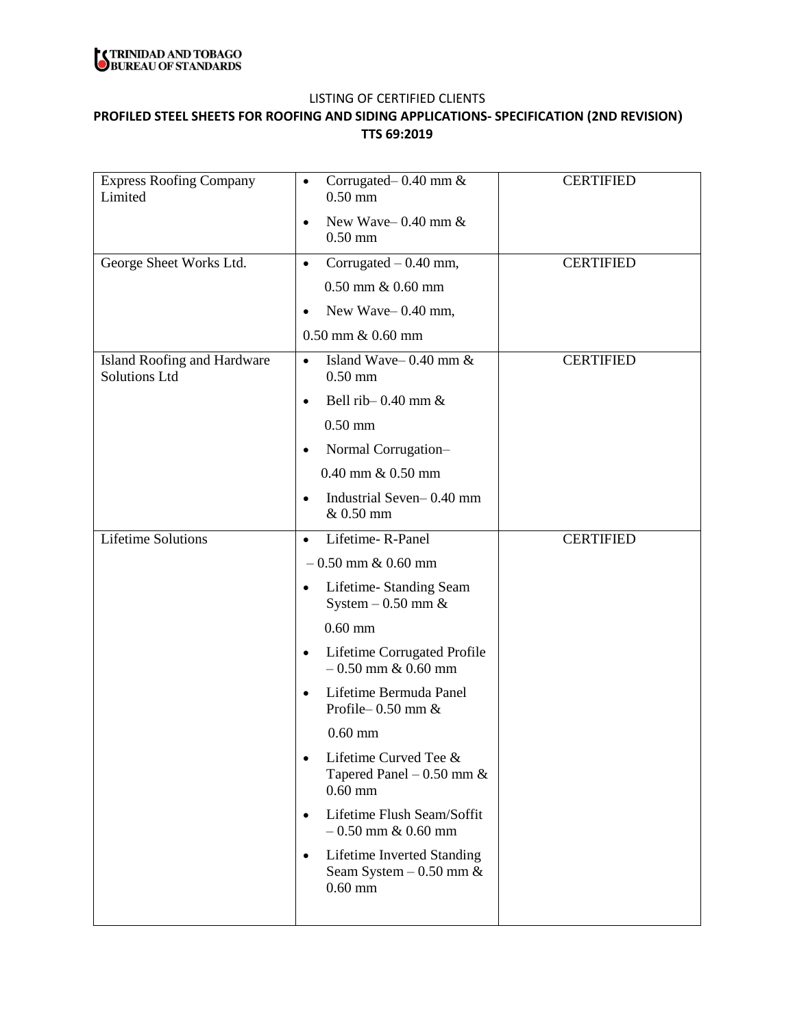

## **PROFILED STEEL SHEETS FOR ROOFING AND SIDING APPLICATIONS- SPECIFICATION (2ND REVISION) TTS 69:2019**

| <b>Express Roofing Company</b><br>Limited           | Corrugated – $0.40$ mm $\&$<br>$\bullet$<br>$0.50$ mm                                      | <b>CERTIFIED</b> |
|-----------------------------------------------------|--------------------------------------------------------------------------------------------|------------------|
|                                                     | New Wave-0.40 mm $\&$<br>$\bullet$                                                         |                  |
|                                                     | $0.50$ mm                                                                                  |                  |
| George Sheet Works Ltd.                             | Corrugated $-0.40$ mm,<br>$\bullet$                                                        | <b>CERTIFIED</b> |
|                                                     | $0.50$ mm $\& 0.60$ mm                                                                     |                  |
|                                                     | New Wave-0.40 mm,<br>$\bullet$                                                             |                  |
|                                                     | $0.50$ mm $\& 0.60$ mm                                                                     |                  |
| Island Roofing and Hardware<br><b>Solutions Ltd</b> | Island Wave- $0.40$ mm $\&$<br>$\bullet$<br>$0.50$ mm                                      | <b>CERTIFIED</b> |
|                                                     | Bell rib- $0.40$ mm $\&$<br>$\bullet$                                                      |                  |
|                                                     | $0.50$ mm                                                                                  |                  |
|                                                     | Normal Corrugation-<br>$\bullet$                                                           |                  |
|                                                     | 0.40 mm & 0.50 mm                                                                          |                  |
|                                                     | Industrial Seven-0.40 mm<br>$\bullet$<br>& 0.50 mm                                         |                  |
| <b>Lifetime Solutions</b>                           | Lifetime-R-Panel<br>$\bullet$                                                              | <b>CERTIFIED</b> |
|                                                     | $-0.50$ mm & 0.60 mm                                                                       |                  |
|                                                     | Lifetime-Standing Seam<br>٠<br>System $-0.50$ mm $\&$                                      |                  |
|                                                     | $0.60$ mm                                                                                  |                  |
|                                                     | Lifetime Corrugated Profile<br>$\bullet$<br>$-0.50$ mm & 0.60 mm                           |                  |
|                                                     | Lifetime Bermuda Panel<br>$\bullet$<br>Profile-0.50 mm &                                   |                  |
|                                                     | $0.60$ mm                                                                                  |                  |
|                                                     | Lifetime Curved Tee &<br>$\bullet$<br>Tapered Panel $-0.50$ mm $\&$<br>$0.60$ mm           |                  |
|                                                     | Lifetime Flush Seam/Soffit<br>$\bullet$<br>$-0.50$ mm & 0.60 mm                            |                  |
|                                                     | <b>Lifetime Inverted Standing</b><br>$\bullet$<br>Seam System $-0.50$ mm $\&$<br>$0.60$ mm |                  |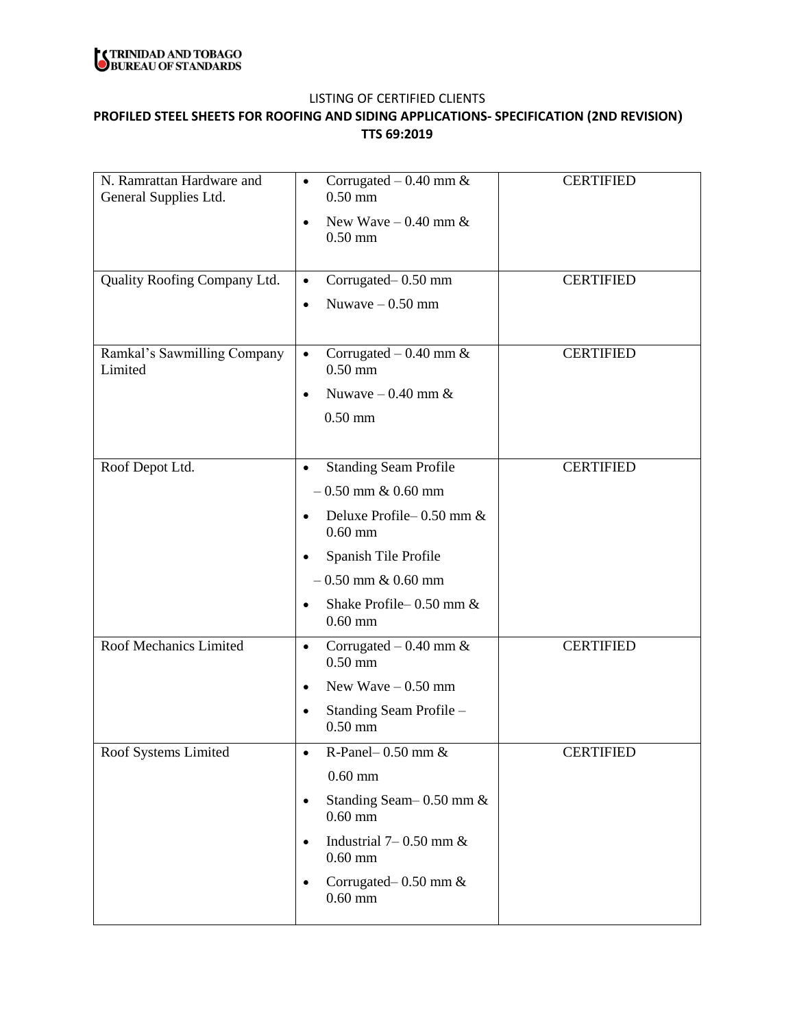

## **PROFILED STEEL SHEETS FOR ROOFING AND SIDING APPLICATIONS- SPECIFICATION (2ND REVISION) TTS 69:2019**

| N. Ramrattan Hardware and<br>General Supplies Ltd. | Corrugated $-0.40$ mm &<br>$\bullet$<br>$0.50$ mm     | <b>CERTIFIED</b> |
|----------------------------------------------------|-------------------------------------------------------|------------------|
|                                                    | New Wave $-0.40$ mm &<br>$\bullet$<br>$0.50$ mm       |                  |
| Quality Roofing Company Ltd.                       | Corrugated-0.50 mm<br>$\bullet$                       | <b>CERTIFIED</b> |
|                                                    | Nuwave $-0.50$ mm<br>$\bullet$                        |                  |
|                                                    |                                                       |                  |
| Ramkal's Sawmilling Company<br>Limited             | Corrugated $-0.40$ mm &<br>$\bullet$<br>$0.50$ mm     | <b>CERTIFIED</b> |
|                                                    | Nuwave $-0.40$ mm &<br>$\bullet$                      |                  |
|                                                    | $0.50$ mm                                             |                  |
|                                                    |                                                       |                  |
| Roof Depot Ltd.                                    | <b>Standing Seam Profile</b><br>$\bullet$             | <b>CERTIFIED</b> |
|                                                    | $-0.50$ mm & 0.60 mm                                  |                  |
|                                                    | Deluxe Profile – 0.50 mm &<br>$\bullet$<br>$0.60$ mm  |                  |
|                                                    | Spanish Tile Profile<br>$\bullet$                     |                  |
|                                                    | $-0.50$ mm & 0.60 mm                                  |                  |
|                                                    | Shake Profile-0.50 mm &<br>$\bullet$<br>$0.60$ mm     |                  |
| Roof Mechanics Limited                             | Corrugated $-0.40$ mm &<br>$\bullet$<br>$0.50$ mm     | <b>CERTIFIED</b> |
|                                                    | New Wave $-0.50$ mm<br>$\bullet$                      |                  |
|                                                    | Standing Seam Profile -<br>$\bullet$<br>$0.50$ mm     |                  |
| Roof Systems Limited                               | R-Panel- $0.50$ mm $\&$                               | <b>CERTIFIED</b> |
|                                                    | $0.60$ mm                                             |                  |
|                                                    | Standing Seam-0.50 mm &<br>$\bullet$<br>$0.60$ mm     |                  |
|                                                    | Industrial $7-0.50$ mm $\&$<br>$\bullet$<br>$0.60$ mm |                  |
|                                                    | Corrugated – 0.50 mm &<br>$\bullet$<br>$0.60$ mm      |                  |
|                                                    |                                                       |                  |